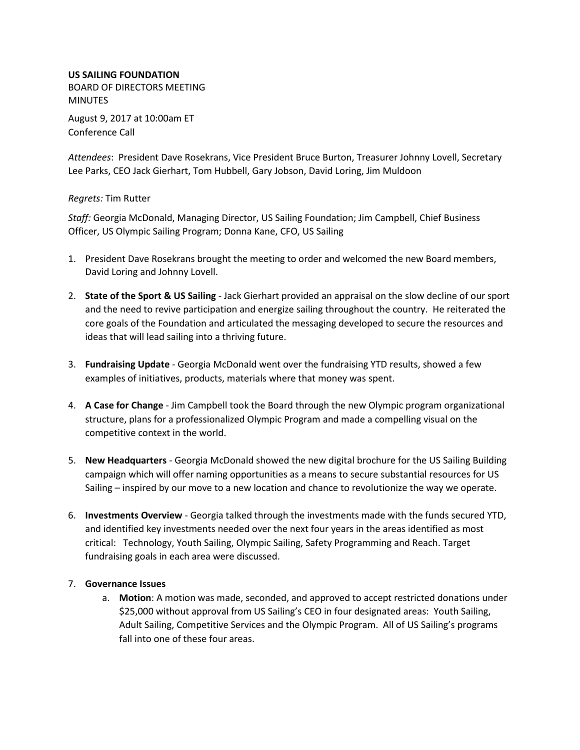## **US SAILING FOUNDATION**

BOARD OF DIRECTORS MEETING MINUTES

August 9, 2017 at 10:00am ET Conference Call

*Attendees*: President Dave Rosekrans, Vice President Bruce Burton, Treasurer Johnny Lovell, Secretary Lee Parks, CEO Jack Gierhart, Tom Hubbell, Gary Jobson, David Loring, Jim Muldoon

## *Regrets:* Tim Rutter

*Staff:* Georgia McDonald, Managing Director, US Sailing Foundation; Jim Campbell, Chief Business Officer, US Olympic Sailing Program; Donna Kane, CFO, US Sailing

- 1. President Dave Rosekrans brought the meeting to order and welcomed the new Board members, David Loring and Johnny Lovell.
- 2. **State of the Sport & US Sailing** Jack Gierhart provided an appraisal on the slow decline of our sport and the need to revive participation and energize sailing throughout the country. He reiterated the core goals of the Foundation and articulated the messaging developed to secure the resources and ideas that will lead sailing into a thriving future.
- 3. **Fundraising Update** Georgia McDonald went over the fundraising YTD results, showed a few examples of initiatives, products, materials where that money was spent.
- 4. **A Case for Change** Jim Campbell took the Board through the new Olympic program organizational structure, plans for a professionalized Olympic Program and made a compelling visual on the competitive context in the world.
- 5. **New Headquarters** Georgia McDonald showed the new digital brochure for the US Sailing Building campaign which will offer naming opportunities as a means to secure substantial resources for US Sailing – inspired by our move to a new location and chance to revolutionize the way we operate.
- 6. **Investments Overview** Georgia talked through the investments made with the funds secured YTD, and identified key investments needed over the next four years in the areas identified as most critical: Technology, Youth Sailing, Olympic Sailing, Safety Programming and Reach. Target fundraising goals in each area were discussed.

## 7. **Governance Issues**

a. **Motion**: A motion was made, seconded, and approved to accept restricted donations under \$25,000 without approval from US Sailing's CEO in four designated areas: Youth Sailing, Adult Sailing, Competitive Services and the Olympic Program. All of US Sailing's programs fall into one of these four areas.